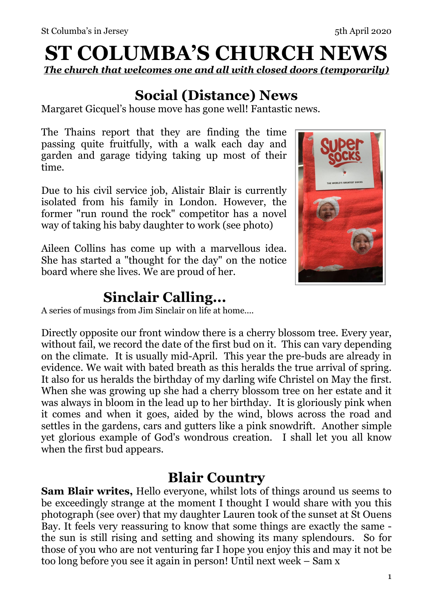# **ST COLUMBA'S CHURCH NEWS**

*The church that welcomes one and all with closed doors (temporarily)* 

# **Social (Distance) News**

Margaret Gicquel's house move has gone well! Fantastic news.

The Thains report that they are finding the time passing quite fruitfully, with a walk each day and garden and garage tidying taking up most of their time.

Due to his civil service job, Alistair Blair is currently isolated from his family in London. However, the former "run round the rock" competitor has a novel way of taking his baby daughter to work (see photo)

Aileen Collins has come up with a marvellous idea. She has started a "thought for the day" on the notice board where she lives. We are proud of her.

# **Sinclair Calling...**

A series of musings from Jim Sinclair on life at home....

Directly opposite our front window there is a cherry blossom tree. Every year, without fail, we record the date of the first bud on it. This can vary depending on the climate. It is usually mid-April. This year the pre-buds are already in evidence. We wait with bated breath as this heralds the true arrival of spring. It also for us heralds the birthday of my darling wife Christel on May the first. When she was growing up she had a cherry blossom tree on her estate and it was always in bloom in the lead up to her birthday. It is gloriously pink when it comes and when it goes, aided by the wind, blows across the road and settles in the gardens, cars and gutters like a pink snowdrift. Another simple yet glorious example of God's wondrous creation. I shall let you all know when the first bud appears.

#### **Blair Country**

**Sam Blair writes,** Hello everyone, whilst lots of things around us seems to be exceedingly strange at the moment I thought I would share with you this photograph (see over) that my daughter Lauren took of the sunset at St Ouens Bay. It feels very reassuring to know that some things are exactly the same the sun is still rising and setting and showing its many splendours. So for those of you who are not venturing far I hope you enjoy this and may it not be too long before you see it again in person! Until next week – Sam x

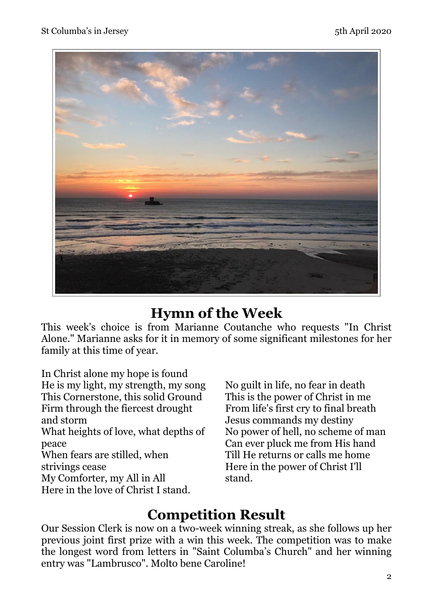

#### **Hymn of the Week**

This week's choice is from Marianne Coutanche who requests "In Christ Alone." Marianne asks for it in memory of some significant milestones for her family at this time of year.

In Christ alone my hope is found He is my light, my strength, my song This Cornerstone, this solid Ground Firm through the fiercest drought and storm What heights of love, what depths of peace When fears are stilled, when strivings cease My Comforter, my All in All Here in the love of Christ I stand.

No guilt in life, no fear in death This is the power of Christ in me From life's first cry to final breath Jesus commands my destiny No power of hell, no scheme of man Can ever pluck me from His hand Till He returns or calls me home Here in the power of Christ I'll stand.

### **Competition Result**

Our Session Clerk is now on a two-week winning streak, as she follows up her previous joint first prize with a win this week. The competition was to make the longest word from letters in "Saint Columba's Church" and her winning entry was "Lambrusco". Molto bene Caroline!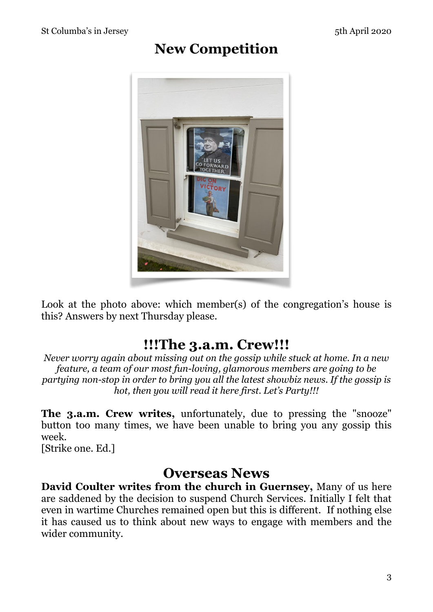### **New Competition**



Look at the photo above: which member(s) of the congregation's house is this? Answers by next Thursday please.

### **!!!The 3.a.m. Crew!!!**

*Never worry again about missing out on the gossip while stuck at home. In a new feature, a team of our most fun-loving, glamorous members are going to be partying non-stop in order to bring you all the latest showbiz news. If the gossip is hot, then you will read it here first. Let's Party!!!* 

**The 3.a.m. Crew writes,** unfortunately, due to pressing the "snooze" button too many times, we have been unable to bring you any gossip this week.

[Strike one. Ed.]

#### **Overseas News**

**David Coulter writes from the church in Guernsey,** Many of us here are saddened by the decision to suspend Church Services. Initially I felt that even in wartime Churches remained open but this is different. If nothing else it has caused us to think about new ways to engage with members and the wider community.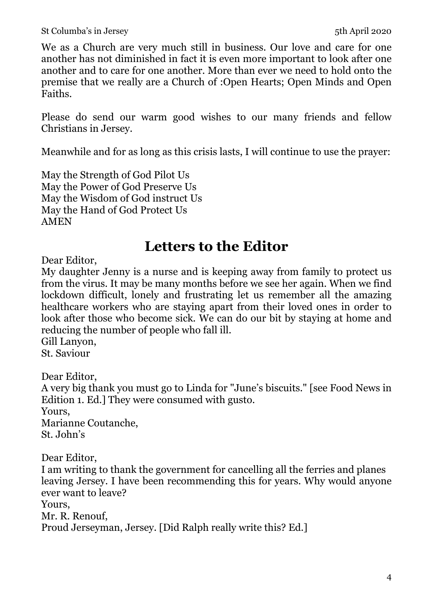We as a Church are very much still in business. Our love and care for one another has not diminished in fact it is even more important to look after one another and to care for one another. More than ever we need to hold onto the premise that we really are a Church of :Open Hearts; Open Minds and Open Faiths.

Please do send our warm good wishes to our many friends and fellow Christians in Jersey.

Meanwhile and for as long as this crisis lasts, I will continue to use the prayer:

May the Strength of God Pilot Us May the Power of God Preserve Us May the Wisdom of God instruct Us May the Hand of God Protect Us AMEN

# **Letters to the Editor**

Dear Editor,

My daughter Jenny is a nurse and is keeping away from family to protect us from the virus. It may be many months before we see her again. When we find lockdown difficult, lonely and frustrating let us remember all the amazing healthcare workers who are staying apart from their loved ones in order to look after those who become sick. We can do our bit by staying at home and reducing the number of people who fall ill.

Gill Lanyon, St. Saviour

Dear Editor,

A very big thank you must go to Linda for "June's biscuits." [see Food News in Edition 1. Ed.] They were consumed with gusto. Yours, Marianne Coutanche,

St. John's

Dear Editor, I am writing to thank the government for cancelling all the ferries and planes leaving Jersey. I have been recommending this for years. Why would anyone ever want to leave? Yours, Mr. R. Renouf, Proud Jerseyman, Jersey. [Did Ralph really write this? Ed.]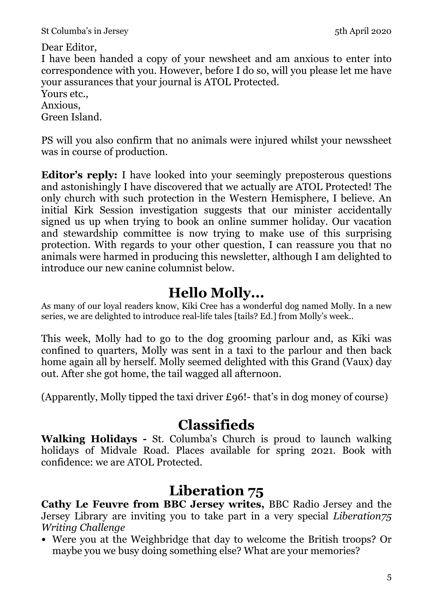St Columba's in Jersey 5th April 2020

Dear Editor,

I have been handed a copy of your newsheet and am anxious to enter into correspondence with you. However, before I do so, will you please let me have your assurances that your journal is ATOL Protected.

#### Yours etc..

Anxious, Green Island.

PS will you also confirm that no animals were injured whilst your newssheet was in course of production.

**Editor's reply:** I have looked into your seemingly preposterous questions and astonishingly I have discovered that we actually are ATOL Protected! The only church with such protection in the Western Hemisphere, I believe. An initial Kirk Session investigation suggests that our minister accidentally signed us up when trying to book an online summer holiday. Our vacation and stewardship committee is now trying to make use of this surprising protection. With regards to your other question, I can reassure you that no animals were harmed in producing this newsletter, although I am delighted to introduce our new canine columnist below.

# **Hello Molly...**

As many of our loyal readers know, Kiki Cree has a wonderful dog named Molly. In a new series, we are delighted to introduce real-life tales [tails? Ed.] from Molly's week..

This week, Molly had to go to the dog grooming parlour and, as Kiki was confined to quarters, Molly was sent in a taxi to the parlour and then back home again all by herself. Molly seemed delighted with this Grand (Vaux) day out. After she got home, the tail wagged all afternoon.

(Apparently, Molly tipped the taxi driver £96!- that's in dog money of course)

# **Classifieds**

**Walking Holidays -** St. Columba's Church is proud to launch walking holidays of Midvale Road. Places available for spring 2021. Book with confidence: we are ATOL Protected.

# **Liberation 75**

**Cathy Le Feuvre from BBC Jersey writes,** BBC Radio Jersey and the Jersey Library are inviting you to take part in a very special *Liberation75 Writing Challenge*

• Were you at the Weighbridge that day to welcome the British troops? Or maybe you we busy doing something else? What are your memories?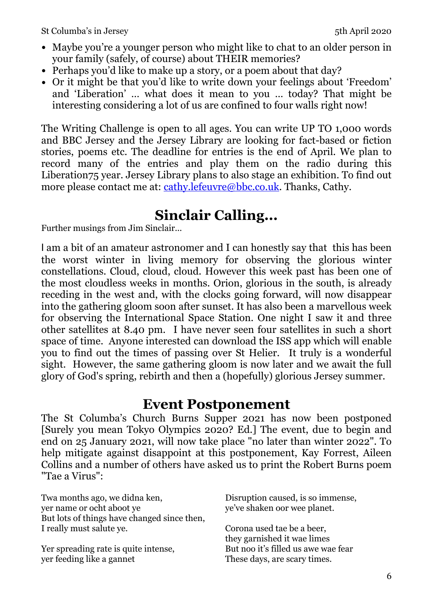- Maybe you're a younger person who might like to chat to an older person in your family (safely, of course) about THEIR memories?
- Perhaps you'd like to make up a story, or a poem about that day?
- Or it might be that you'd like to write down your feelings about 'Freedom' and 'Liberation' … what does it mean to you … today? That might be interesting considering a lot of us are confined to four walls right now!

The Writing Challenge is open to all ages. You can write UP TO 1,000 words and BBC Jersey and the Jersey Library are looking for fact-based or fiction stories, poems etc. The deadline for entries is the end of April. We plan to record many of the entries and play them on the radio during this Liberation75 year. Jersey Library plans to also stage an exhibition. To find out more please contact me at: [cathy.lefeuvre@bbc.co.uk.](mailto:cathy.lefeuvre@bbc.co.uk) Thanks, Cathy.

# **Sinclair Calling...**

Further musings from Jim Sinclair...

I am a bit of an amateur astronomer and I can honestly say that this has been the worst winter in living memory for observing the glorious winter constellations. Cloud, cloud, cloud. However this week past has been one of the most cloudless weeks in months. Orion, glorious in the south, is already receding in the west and, with the clocks going forward, will now disappear into the gathering gloom soon after sunset. It has also been a marvellous week for observing the International Space Station. One night I saw it and three other satellites at 8.40 pm. I have never seen four satellites in such a short space of time. Anyone interested can download the ISS app which will enable you to find out the times of passing over St Helier. It truly is a wonderful sight. However, the same gathering gloom is now later and we await the full glory of God's spring, rebirth and then a (hopefully) glorious Jersey summer.

#### **Event Postponement**

The St Columba's Church Burns Supper 2021 has now been postponed [Surely you mean Tokyo Olympics 2020? Ed.] The event, due to begin and end on 25 January 2021, will now take place "no later than winter 2022". To help mitigate against disappoint at this postponement, Kay Forrest, Aileen Collins and a number of others have asked us to print the Robert Burns poem "Tae a Virus":

Twa months ago, we didna ken, yer name or ocht aboot ye But lots of things have changed since then, I really must salute ye.

Yer spreading rate is quite intense, yer feeding like a gannet

Disruption caused, is so immense, ye've shaken oor wee planet.

Corona used tae be a beer, they garnished it wae limes But noo it's filled us awe wae fear These days, are scary times.